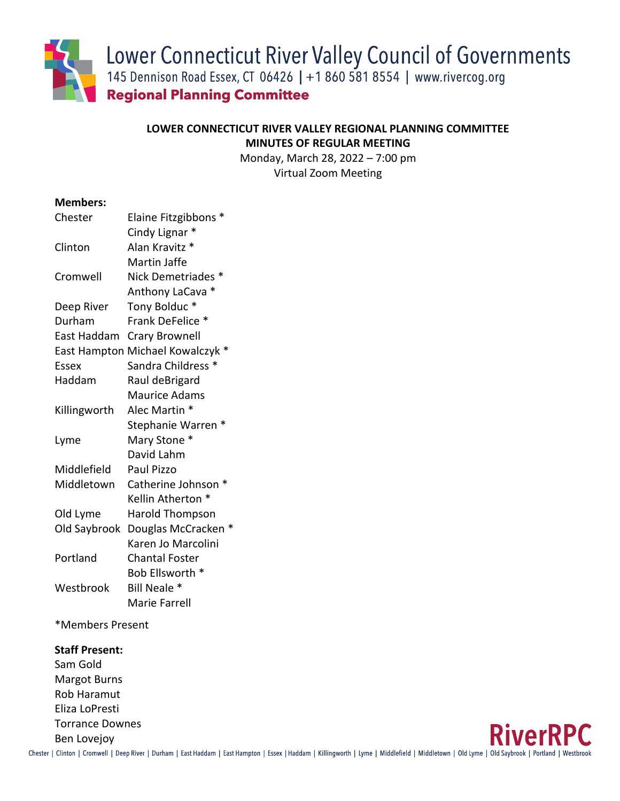Lower Connecticut River Valley Council of Governments

145 Dennison Road Essex, CT 06426 | +1 860 581 8554 | www.rivercog.org

**Regional Planning Committee** 

# **LOWER CONNECTICUT RIVER VALLEY REGIONAL PLANNING COMMITTEE MINUTES OF REGULAR MEETING**

Monday, March 28, 2022 – 7:00 pm Virtual Zoom Meeting

## **Members:**

| Chester      | Elaine Fitzgibbons *          |
|--------------|-------------------------------|
|              | Cindy Lignar *                |
| Clinton      | Alan Kravitz *                |
|              | Martin Jaffe                  |
| Cromwell     | Nick Demetriades *            |
|              | Anthony LaCava *              |
| Deep River   | Tony Bolduc*                  |
| Durham       | Frank DeFelice *              |
| East Haddam  | <b>Crary Brownell</b>         |
| East Hampton | Michael Kowalczyk *           |
| Essex        | Sandra Childress <sup>*</sup> |
| Haddam       | Raul deBrigard                |
|              | <b>Maurice Adams</b>          |
| Killingworth | Alec Martin *                 |
|              | $\ast$<br>Stephanie Warren    |
| Lyme         | Mary Stone *                  |
|              | David Lahm                    |
| Middlefield  | Paul Pizzo                    |
| Middletown   | Catherine Johnson *           |
|              | Kellin Atherton *             |
| Old Lyme     | <b>Harold Thompson</b>        |
| Old Saybrook | Douglas McCracken *           |
|              | Karen Jo Marcolini            |
| Portland     | <b>Chantal Foster</b>         |
|              | Bob Ellsworth *               |
| Westbrook    | Bill Neale *                  |
|              | Marie Farrell                 |

\*Members Present

### **Staff Present:**

Sam Gold Margot Burns Rob Haramut Eliza LoPresti Torrance Downes Ben Lovejoy



Chester | Clinton | Cromwell | Deep River | Durham | East Haddam | East Hampton | Essex | Haddam | Killingworth | Lyme | Middlefield | Middletown | Old Lyme | Old Saybrook | Portland | Westbrook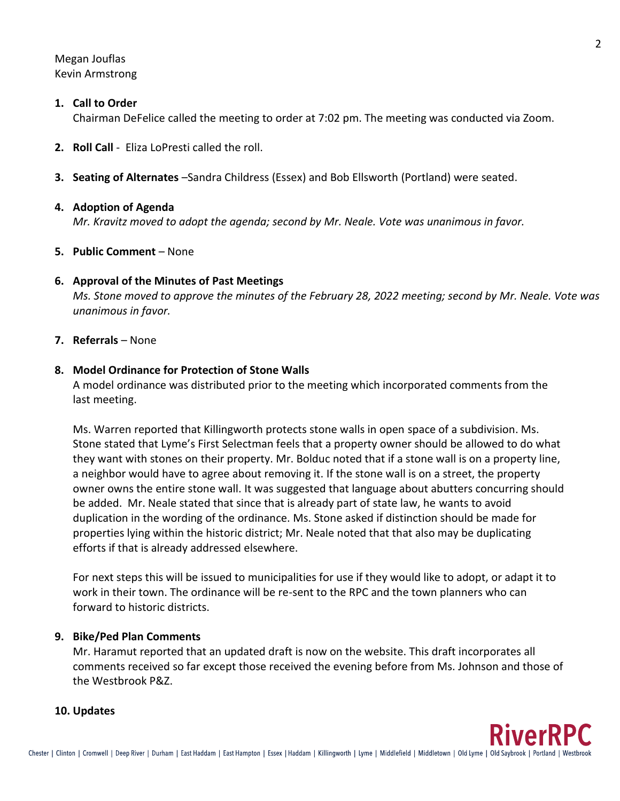Megan Jouflas Kevin Armstrong

#### **1. Call to Order**

Chairman DeFelice called the meeting to order at 7:02 pm. The meeting was conducted via Zoom.

- **2. Roll Call** Eliza LoPresti called the roll.
- **3. Seating of Alternates** –Sandra Childress (Essex) and Bob Ellsworth (Portland) were seated.

#### **4. Adoption of Agenda**

*Mr. Kravitz moved to adopt the agenda; second by Mr. Neale. Vote was unanimous in favor.*

#### **5. Public Comment** – None

#### **6. Approval of the Minutes of Past Meetings**

*Ms. Stone moved to approve the minutes of the February 28, 2022 meeting; second by Mr. Neale. Vote was unanimous in favor.*

#### **7. Referrals** – None

#### **8. Model Ordinance for Protection of Stone Walls**

A model ordinance was distributed prior to the meeting which incorporated comments from the last meeting.

Ms. Warren reported that Killingworth protects stone walls in open space of a subdivision. Ms. Stone stated that Lyme's First Selectman feels that a property owner should be allowed to do what they want with stones on their property. Mr. Bolduc noted that if a stone wall is on a property line, a neighbor would have to agree about removing it. If the stone wall is on a street, the property owner owns the entire stone wall. It was suggested that language about abutters concurring should be added. Mr. Neale stated that since that is already part of state law, he wants to avoid duplication in the wording of the ordinance. Ms. Stone asked if distinction should be made for properties lying within the historic district; Mr. Neale noted that that also may be duplicating efforts if that is already addressed elsewhere.

For next steps this will be issued to municipalities for use if they would like to adopt, or adapt it to work in their town. The ordinance will be re-sent to the RPC and the town planners who can forward to historic districts.

### **9. Bike/Ped Plan Comments**

Mr. Haramut reported that an updated draft is now on the website. This draft incorporates all comments received so far except those received the evening before from Ms. Johnson and those of the Westbrook P&Z.

#### **10. Updates**

2